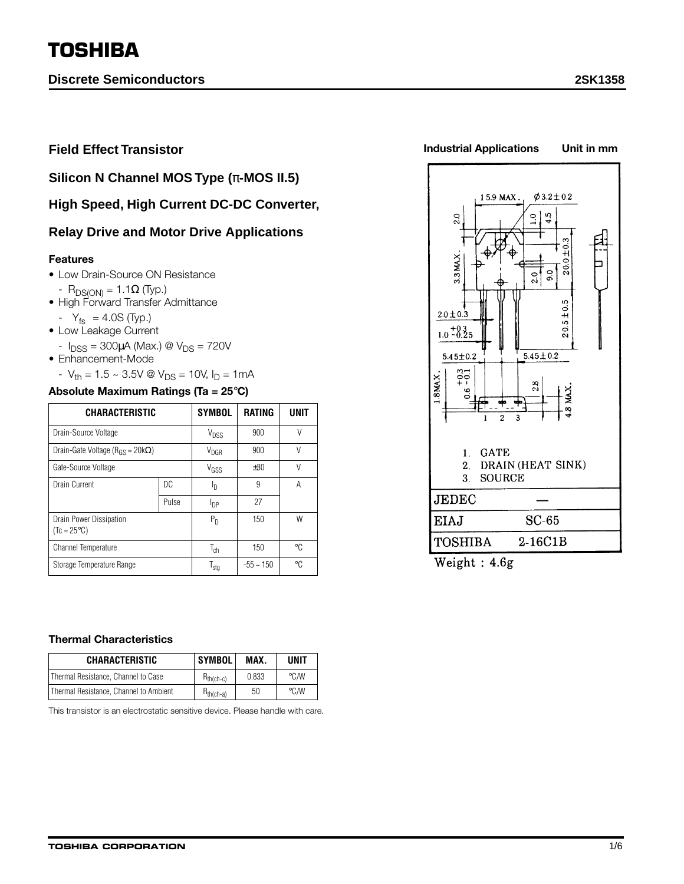# **TOSHIBA**

**Discrete Semiconductors 2SK1358**

**Field Effect Transistor**

**Silicon N Channel MOS Type (**π**-MOS II.5)**

**High Speed, High Current DC-DC Converter,**

## **Relay Drive and Motor Drive Applications**

#### **Features**

- Low Drain-Source ON Resistance
- R<sub>DS(ON)</sub> = 1.1Ω (Typ.)
- High Forward Transfer Admittance
- $|Y_{fs}| = 4.0S$  (Typ.)
- Low Leakage Current
- $I_{DSS} = 300 \mu A$  (Max.) @  $V_{DS} = 720 V$
- Enhancement-Mode
	- $-V_{th} = 1.5 \sim 3.5V \otimes V_{DS} = 10V$ ,  $I_D = 1mA$

### **Absolute Maximum Ratings (Ta = 25**°**C)**

| <b>CHARACTERISTIC</b>                           |       | <b>SYMBOL</b>    | <b>RATING</b>  | UNIT   |
|-------------------------------------------------|-------|------------------|----------------|--------|
| Drain-Source Voltage                            |       | V <sub>DSS</sub> | 900            | $\vee$ |
| Drain-Gate Voltage ( $R_{GS}$ = 20k $\Omega$ )  |       | $V_{\text{DGR}}$ | 900            | V      |
| Gate-Source Voltage                             |       | V <sub>GSS</sub> | ±30            | V      |
| Drain Current                                   | DC.   | Ιŋ               | 9              | А      |
|                                                 | Pulse | I <sub>DP</sub>  | 27             |        |
| Drain Power Dissipation<br>$(Tc = 25^{\circ}C)$ |       | $P_D$            | 150            | W      |
| <b>Channel Temperature</b>                      |       | $T_{ch}$         | 150            | °C     |
| Storage Temperature Range                       |       | $T_{\text{stg}}$ | $-55 \sim 150$ | ۰C     |



**Industrial Applications Unit in mm**

| <b>JEDEC</b>   |           |  |  |
|----------------|-----------|--|--|
| EIAJ           | SC-65     |  |  |
| <b>TOSHIBA</b> | $2-16C1B$ |  |  |

Weight: 4.6g

#### **Thermal Characteristics**

| <b>CHARACTERISTIC</b>                  | <b>SYMBOL</b>  | MAX.  | <b>UNIT</b>   |
|----------------------------------------|----------------|-------|---------------|
| Thermal Resistance. Channel to Case    | $H_{th(ch-c)}$ | 0.833 | $\degree$ C/W |
| Thermal Resistance. Channel to Ambient | $R_{th(ch-a)}$ | 50    | $\degree$ C/W |

This transistor is an electrostatic sensitive device. Please handle with care.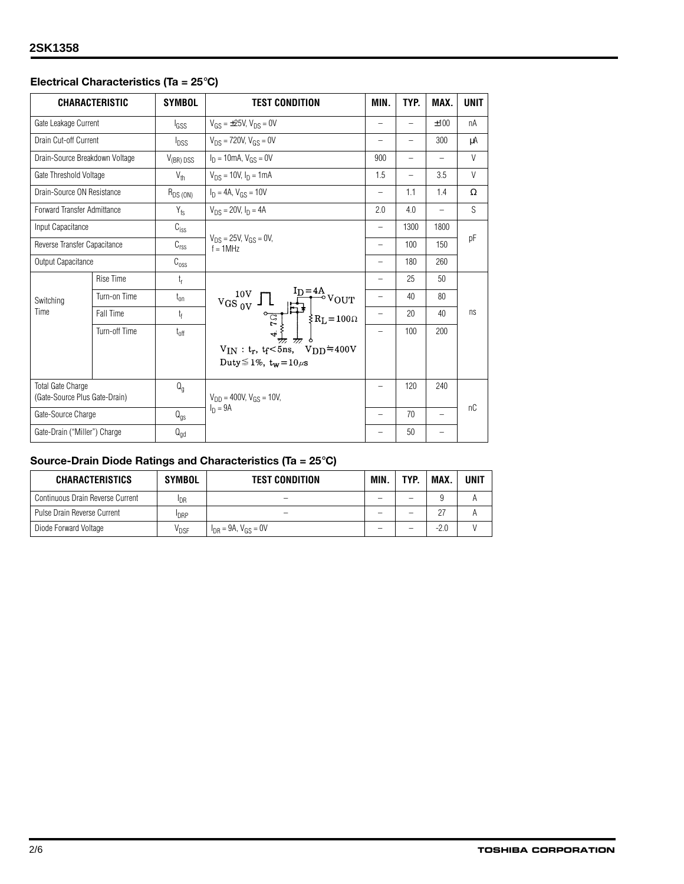## **Electrical Characteristics (Ta = 25**°**C)**

|                              | <b>CHARACTERISTIC</b>          | <b>SYMBOL</b>      | <b>TEST CONDITION</b>                                                                                                                           | MIN.                     | TYP.                     | MAX.                     | <b>UNIT</b> |
|------------------------------|--------------------------------|--------------------|-------------------------------------------------------------------------------------------------------------------------------------------------|--------------------------|--------------------------|--------------------------|-------------|
| Gate Leakage Current         |                                | l <sub>GSS</sub>   | $V_{GS} = \pm 25V$ , $V_{DS} = 0V$                                                                                                              | $\overline{\phantom{0}}$ |                          | ±100                     | nA          |
| Drain Cut-off Current        |                                | $I_{DSS}$          | $V_{DS}$ = 720V, $V_{GS}$ = 0V                                                                                                                  | $\qquad \qquad -$        | -                        | 300                      | μA          |
|                              | Drain-Source Breakdown Voltage | $V_{(BR)$ DSS      | $I_D = 10$ mA, $V_{GS} = 0V$                                                                                                                    | 900                      | $\overline{\phantom{0}}$ | $\overline{\phantom{0}}$ | V           |
| Gate Threshold Voltage       |                                | $V_{th}$           | $V_{DS}$ = 10V, $I_D$ = 1mA                                                                                                                     | 1.5                      | $\overline{\phantom{0}}$ | 3.5                      | $\vee$      |
| Drain-Source ON Resistance   |                                | $R_{DS(ON)}$       | $I_D = 4A$ , $V_{GS} = 10V$                                                                                                                     | $\qquad \qquad -$        | 1.1                      | 1.4                      | $\Omega$    |
| Forward Transfer Admittance  |                                | $ Y_{fs} $         | $V_{DS} = 20V$ , $I_D = 4A$                                                                                                                     | 2.0                      | 4.0                      | $\qquad \qquad -$        | S           |
| Input Capacitance            |                                | $C_{\text{iss}}$   |                                                                                                                                                 | $\qquad \qquad -$        | 1300                     | 1800                     |             |
| Reverse Transfer Capacitance |                                | C <sub>rss</sub>   | $V_{DS}$ = 25V, $V_{GS}$ = 0V,<br>$f = 1MHz$                                                                                                    | $\overline{\phantom{0}}$ | 100                      | 150                      | рF          |
| Output Capacitance           |                                | $\mathrm{C_{oss}}$ |                                                                                                                                                 |                          | 180                      | 260                      |             |
|                              | <b>Rise Time</b>               | $t_{r}$            |                                                                                                                                                 | $\overline{\phantom{0}}$ | 25                       | 50                       |             |
| Switching                    | Turn-on Time                   | $t_{on}$           | $\mathbf{v_{GS}}_{0\mathrm{V}}^{\mathbf{10V}}\prod\ \begin{array}{c} \mathbf{I_D=4A}\\  \mathbf{I} \rightarrow 1 \end{array}\ \mathbf{v_{OUT}}$ | $\qquad \qquad -$        | 40                       | 80                       |             |
| Time                         | Fall Time                      | $t_{\rm f}$        |                                                                                                                                                 | $\qquad \qquad -$        | 20                       | 40                       | ns          |
|                              | Turn-off Time                  | $t_{off}$          | $R_{L} = 100 \Omega$                                                                                                                            | $\overline{\phantom{0}}$ | 100                      | 200                      |             |
|                              |                                |                    | $V_{IN}: t_r, t_f<5$ ns, $V_{DD}=400V$<br>Duty $\leq 1\%$ , t <sub>w</sub> = $10\mu$ s                                                          |                          |                          |                          |             |
| <b>Total Gate Charge</b>     | (Gate-Source Plus Gate-Drain)  | $Q_{q}$            | $V_{DD}$ = 400V, $V_{GS}$ = 10V,                                                                                                                | -                        | 120                      | 240                      |             |
|                              | Gate-Source Charge             |                    | $I_n = 9A$                                                                                                                                      | $\overline{\phantom{0}}$ | 70                       | $\qquad \qquad -$        | nC          |
| Gate-Drain ("Miller") Charge |                                | $Q_{\text{gd}}$    |                                                                                                                                                 |                          | 50                       |                          |             |

## **Source-Drain Diode Ratings and Characteristics (Ta = 25**°**C)**

| <b>CHARACTERISTICS</b>           | <b>SYMBOL</b>                      | <b>TEST CONDITION</b>                    | MIN. | TYP. | MAX    | <b>UNIT</b> |
|----------------------------------|------------------------------------|------------------------------------------|------|------|--------|-------------|
| Continuous Drain Reverse Current | <sup>I</sup> DR                    |                                          |      |      |        |             |
| Pulse Drain Reverse Current      | <b>IDRP</b>                        |                                          | -    | -    |        |             |
| Diode Forward Voltage            | $\bm{{\mathsf{V}}}_{\mathsf{DSF}}$ | $V_{\text{DR}} = 9A, V_{\text{GS}} = 0V$ |      |      | $-2.0$ |             |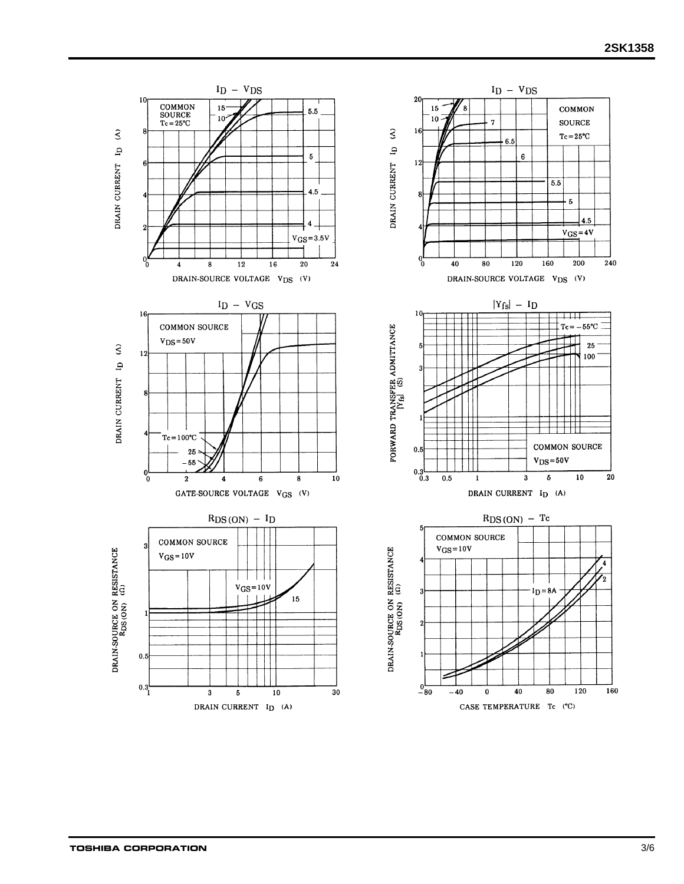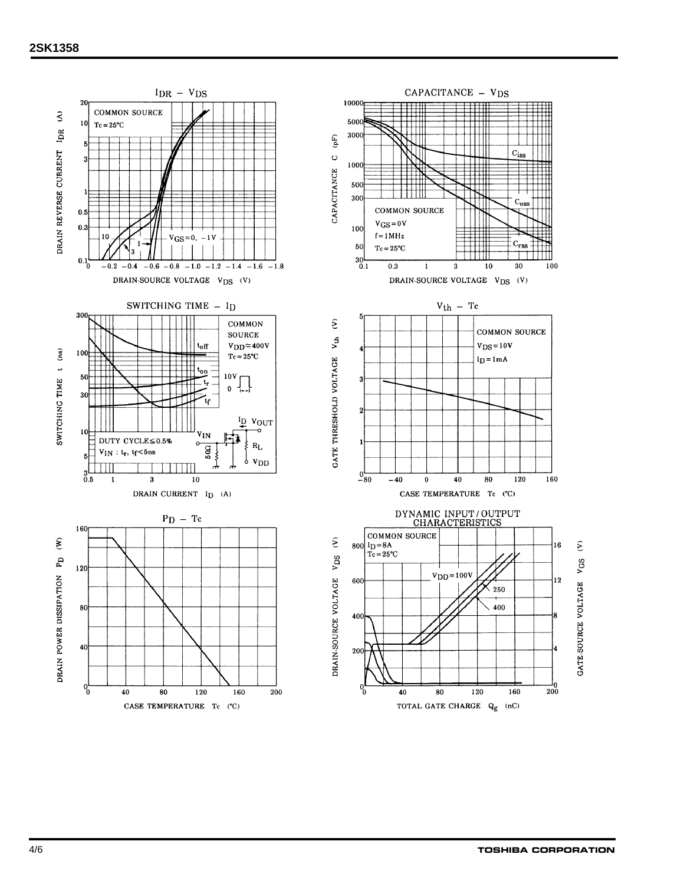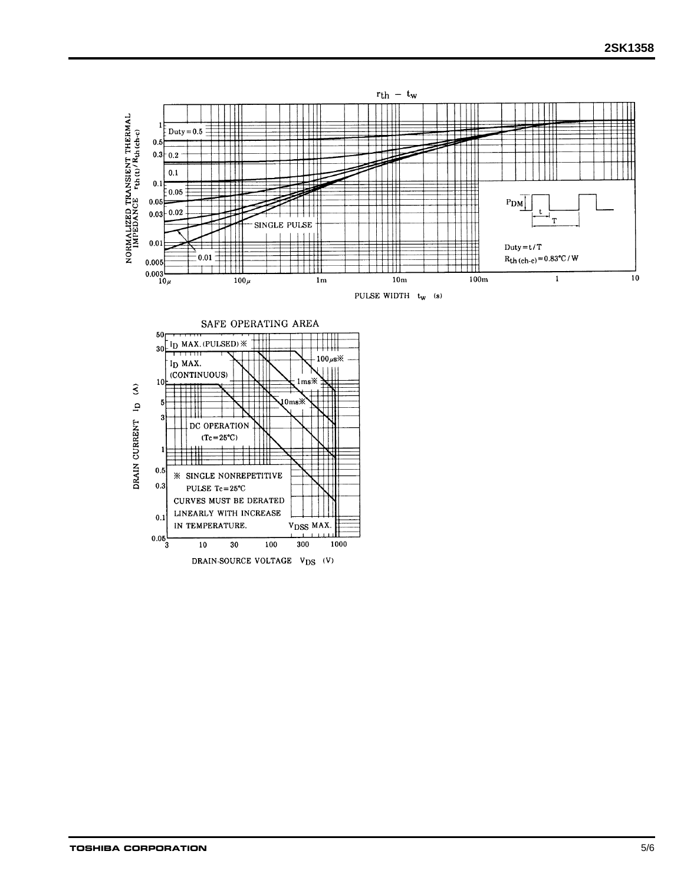